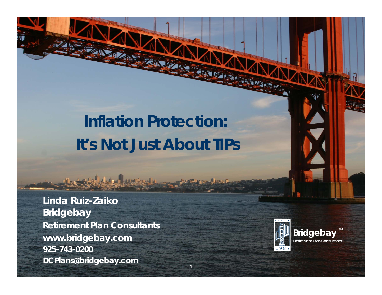# **Inflation Protection: It's Not Just About TIPs**

**NAME OF BRIDE** 

**Linda Ruiz -Zaiko** Linda Ruiz-Zaiko<br>Bridgebay **Retirement Plan Consultants www.bridgebay.com 925-743-0200**0 and 1987 **DCPlans@bridgebay.com**

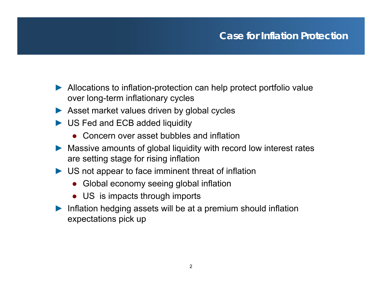- ► Allocations to inflation-protection can help protect portfolio value over long-term inflationary cycles
- ► Asset market values driven by global cycles
- ► US Fed and ECB added liquidity
	- Concern over asset bubbles and inflation
- ► Massive amounts of global liquidity with record low interest rates are setting stage for rising inflation
- ► US not appear to face imminent threat of inflation
	- Global economy seeing global inflation
	- US is impacts through imports
- ► Inflation hedging assets will be at a premium should inflation expectations pick up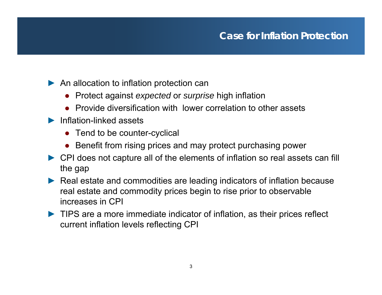- ► An allocation to inflation protection can
	- Protect against *expecte d* or *surprise* high inflation
	- Provide diversification with lower correlation to other assets
- ► Inflation-linked assets
	- Tend to be counter-cyclical
	- Benefit from rising prices and may protect purchasing power
- ► CPI does not capture all of the elements of inflation so real assets can fill the gap
- ► Real estate and commodities are leading indicators of inflation because real estate and commodity prices begin to rise prior to observable increases in CPI
- ► TIPS are a more immediate indicator of inflation, as their prices reflect current inflation levels reflecting CPI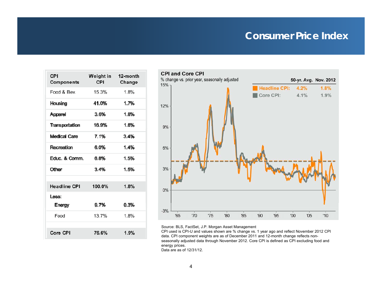### **Consumer Price Index**

| CPI<br>Components   | <b>Weight in</b><br>CPI. | 12-month<br>Change |
|---------------------|--------------------------|--------------------|
| Food & Bev.         | 15.3%                    | 1.8%               |
| Housing             | 41.0%                    | 1.7%               |
| Apparel             | $3.6\%$                  | 1.8%               |
| Transportation      | 16.9%                    | 1.6%               |
| Medical Care        | 7.1%                     | $3.4\%$            |
| Recreation          | 6.0%                     | 1.4%               |
| Educ. & Comm.       | 6.8%                     | 1.5%               |
| Other               | 3.4%                     | 1.5%               |
|                     |                          |                    |
| <b>Headline CPI</b> | 100.0%                   | 1.8%               |
| Less:               |                          |                    |
| Energy              | 9.7%                     | 0.3%               |
| Food                | 13.7%                    | 1.8%               |
|                     |                          |                    |
| Core CPI            | 76.6%                    | 1.9%               |



Source: BLS, FactSet, J.P. Morgan Asset Management

CPI used is CPI-U and values shown are % change vs. 1 year ago and reflect November 2012 CPI data. CPI component weights are as of December 2011 and 12-month change reflects nonseasonally adjusted data through November 2012. Core CPI is defined as CPI excluding food and energy prices.

Data are as of 12/31/12.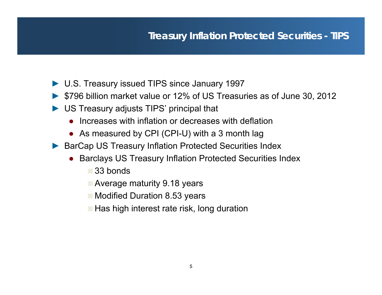## **Treasury Inflation Protected Securities - TIPS**

- ► U.S. Treasury issued TIPS since January 1997
- ► \$796 billion market value or 12% of US Treasuries as of June 30, 2012
- ► US Treasury adjusts TIPS' principal that
	- ●Increases with inflation or decreases with deflation
	- As measured by CPI (CPI-U) with a 3 month lag
- ► BarCap US Treasury Inflation Protected Securities Index
	- ● Barclays US Treasury Inflation Protected Securities Index
		- **33 bonds**
		- **Average maturity 9.18 years**
		- **Modified Duration 8.53 years**
		- $\blacksquare$  Has high interest rate risk, long duration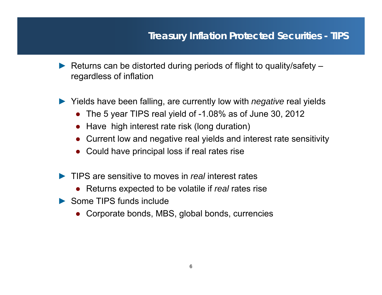### **Treasury Inflation Protected Securities - TIPS**

► Returns can be distorted during periods of flight to quality/safety – regardless of inflation

► Yields have been falling, are currently low with *negative* real yields

- The 5 year TIPS real yield of -1.08% as of June 30, 2012
- Have high interest rate risk (long duration)
- Current low and negative real yields and interest rate sensitivity
- Could have principal loss if real rates rise
- ► TIPS are sensitive to moves in *real* interest rates
	- Returns expected to be volatile if *real* rates rise
- $\blacktriangleright$  Some TIPS funds include
	- Corporate bonds, MBS, global bonds, currencies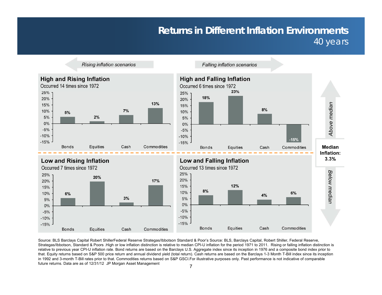### **Returns in Different Inflation Environments**  40 years

**High and Rising Inflation** Occurred 14 times since 1972 25% 20% 13% 15%  $7%$ 10% 5% 5%  $2%$  $0%$  $-5%$  $-10%$  $-15%$ **Bonds Equities** Cash Commodities

**Rising inflation scenarios** 



**Falling inflation scenarios** 



Cash

Commodities

Source: BLS Barclays Capital Robert ShillerFederal Reserve Strategas/Ibbotson Standard & Poor's Source: BLS, Barclays Capital, Robert Shiller, Federal Reserve, Strategas/Ibbotson, Standard & Poors .High or low inflation distinction is relative to median CPI-U inflation for the period 1971 to 2011. Rising or falling inflation distinction is relative to previous year CPI-U inflation rate. Bond returns are based on the Barclays U.S. Aggregate index since its inception in 1976 and a composite bond index prior to that. Equity returns based on S&P 500 price return and annual dividend yield (total return). Cash returns are based on the Barclays 1-3 Month T-Bill index since its inception in 1992 and 3-month T-Bill rates prior to that. Commodities returns based on S&P GSCI.For illustrative purposes only. Past performance is not indicative of comparable future returns. Data are as of 12/31/12 JP Morgan Asset Management

**Bonds** 

Equities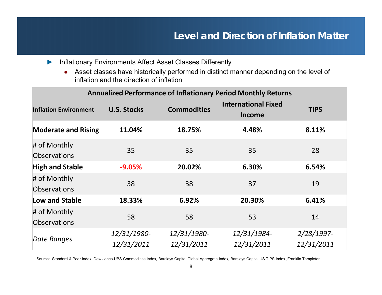### **Level and Direction of Inflation Matter**

- ► Inflationary Environments Affect Asset Classes Differently
	- ● Asset classes have historically performed in distinct manner depending on the level of inflation and the direction of inflation

|                                     |                           |                           | <b>Annualized Performance of Inflationary Period Monthly Returns</b> |                          |
|-------------------------------------|---------------------------|---------------------------|----------------------------------------------------------------------|--------------------------|
| <b>Inflation Environment</b>        | <b>U.S. Stocks</b>        | <b>Commodities</b>        | <b>International Fixed</b><br><b>Income</b>                          | <b>TIPS</b>              |
| <b>Moderate and Rising</b>          | 11.04%                    | 18.75%                    | 4.48%                                                                | 8.11%                    |
| # of Monthly<br><b>Observations</b> | 35                        | 35                        | 35                                                                   | 28                       |
| <b>High and Stable</b>              | $-9.05%$                  | 20.02%                    | 6.30%                                                                | 6.54%                    |
| # of Monthly<br><b>Observations</b> | 38                        | 38                        | 37                                                                   | 19                       |
| Low and Stable                      | 18.33%                    | 6.92%                     | 20.30%                                                               | 6.41%                    |
| # of Monthly<br><b>Observations</b> | 58                        | 58                        | 53                                                                   | 14                       |
| Date Ranges                         | 12/31/1980-<br>12/31/2011 | 12/31/1980-<br>12/31/2011 | 12/31/1984-<br>12/31/2011                                            | 2/28/1997-<br>12/31/2011 |

Source: Standard & Poor Index, Dow Jones-UBS Commodities Index, Barclays Capital Global Aggregate Index, Barclays Capital US TIPS Index ,Franklin Templeton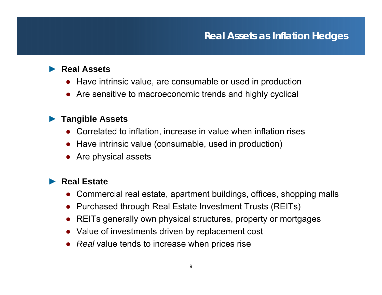### **Real Assets as Inflation Hedges**

### ► **Real Assets**

- Have intrinsic value, are consumable or used in production
- Are sensitive to macroeconomic trends and highly cyclical

### ► **Tangible Assets**

- Correlated to inflation, increase in value when inflation rises
- Have intrinsic value (consumable, used in production)
- Are physical assets

#### ►**Real Estate**

- $\bullet$ Commercial real estate, apartment buildings, offices, shopping malls
- Purchased through Real Estate Investment Trusts (REITs)
- REITs generally own physical structures, property or mortgages
- Value of investments driven by replacement cost
- *Real* value tends to increase when prices rise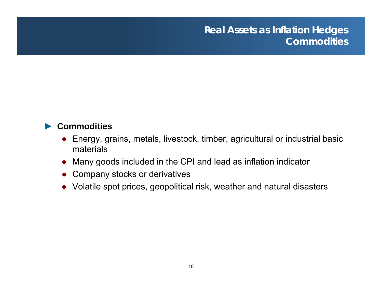#### ►**Commodities**

- $\bullet$  Energy, grains, metals, livestock, timber, agricultural or industrial basic materials
- Many goods included in the CPI and lead as inflation indicator
- Company stocks or derivatives
- Volatile spot prices, geopolitical risk, weather and natural disasters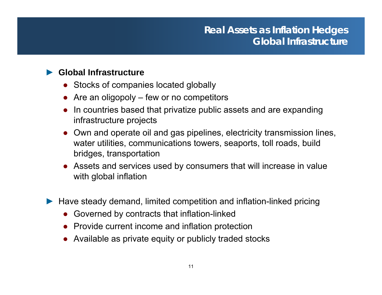### ► **Global Infrastructure**

- Stocks of companies located globally
- Are an oligopoly few or no competitors
- ● In countries based that privatize public assets and are expanding infrastructure projects
- Own and operate oil and gas pipelines, electricity transmission lines, water utilities, communications towers, seaports, toll roads, build bridges, transportation
- Assets and services used by consumers that will increase in value with global inflation
- ► Have steady demand, limited competition and inflation-linked pricing
	- ●Governed by contracts that inflation-linked
	- Provide current income and inflation protection
	- Available as private equity or publicly traded stocks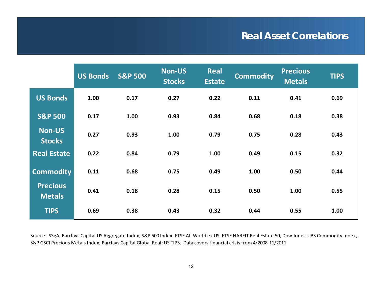## **Real Asset Correlations**

|                                  | US Bonds | <b>S&amp;P 500</b> | <b>Non-US</b><br><b>Stocks</b> | <b>Real</b><br><b>Estate</b> | <b>Commodity</b> | <b>Precious</b><br><b>Metals</b> | <b>TIPS</b> |
|----------------------------------|----------|--------------------|--------------------------------|------------------------------|------------------|----------------------------------|-------------|
| <b>US Bonds</b>                  | 1.00     | 0.17               | 0.27                           | 0.22                         | 0.11             | 0.41                             | 0.69        |
| <b>S&amp;P 500</b>               | 0.17     | 1.00               | 0.93                           | 0.84                         | 0.68             | 0.18                             | 0.38        |
| <b>Non-US</b><br><b>Stocks</b>   | 0.27     | 0.93               | 1.00                           | 0.79                         | 0.75             | 0.28                             | 0.43        |
| <b>Real Estate</b>               | 0.22     | 0.84               | 0.79                           | 1.00                         | 0.49             | 0.15                             | 0.32        |
| <b>Commodity</b>                 | 0.11     | 0.68               | 0.75                           | 0.49                         | 1.00             | 0.50                             | 0.44        |
| <b>Precious</b><br><b>Metals</b> | 0.41     | 0.18               | 0.28                           | 0.15                         | 0.50             | 1.00                             | 0.55        |
| <b>TIPS</b>                      | 0.69     | 0.38               | 0.43                           | 0.32                         | 0.44             | 0.55                             | 1.00        |

Source: SSgA, Barclays Capital US Aggregate Index, S&P 500 Index, FTSE All World ex US, FTSE NAREIT Real Estate 50, Dow Jones‐UBS Commodity Index, S&P GSCI Precious Metals Index, Barclays Capital Global Real: US TIPS. Data covers financial crisis from 4/2008‐11/2011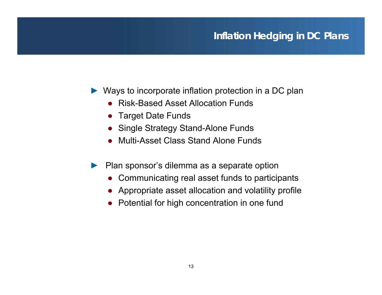# **Inflation Hedging in DC Plans**

- ► Ways to incorporate inflation protection in a DC plan
	- ●Risk-Based Asset Allocation Funds
	- Target Date Funds
	- ●• Single Strategy Stand-Alone Funds
	- Multi-Asset Class Stand Alone Funds
- ► $\blacktriangleright$  Plan sponsor's dilemma as a separate option
	- ●Communicating real asset funds to participants
	- Appropriate asset allocation and volatility profile
	- Potential for high concentration in one fund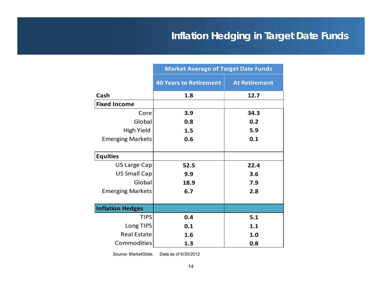# **Inflation Hedging in Target Date Funds**

|                         | <b>Market Average of Target Date Funds</b> |                      |  |
|-------------------------|--------------------------------------------|----------------------|--|
|                         | <b>40 Years to Retirement</b>              | <b>At Retirement</b> |  |
| Cash                    | 1.8                                        | 12.7                 |  |
| <b>Fixed Income</b>     |                                            |                      |  |
| Core                    | 3.9                                        | 34.3                 |  |
| Global                  | 0.8                                        | 0.2                  |  |
| <b>High Yield</b>       | 1.5                                        | 5.9                  |  |
| <b>Emerging Markets</b> | 0.6                                        | 0.1                  |  |
|                         |                                            |                      |  |
| <b>Equities</b>         |                                            |                      |  |
| US Large Cap            | 52.5                                       | 22.4                 |  |
| <b>US Small Cap</b>     | 9.9                                        | 3.6                  |  |
| Global                  | 18.9                                       | 7.9                  |  |
| <b>Emerging Markets</b> | 6.7                                        | 2.8                  |  |
|                         |                                            |                      |  |
| <b>Inflation Hedges</b> |                                            |                      |  |
| <b>TIPS</b>             | 0.4                                        | 5.1                  |  |
| Long TIPS               | 0.1                                        | 1.1                  |  |
| <b>Real Estate</b>      | 1.6                                        | 1.0                  |  |
| <b>Commodities</b>      | 1.3                                        | 0.8                  |  |

Source: MarketGlide. Data as of 6/30/2012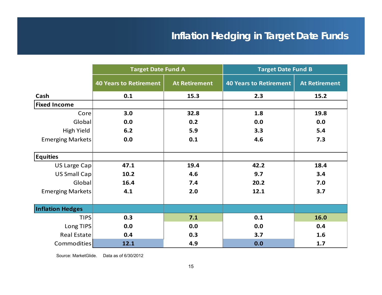# **Inflation Hedging in Target Date Funds**

|                         | <b>Target Date Fund A</b>     |                      | <b>Target Date Fund B</b>     |                      |  |
|-------------------------|-------------------------------|----------------------|-------------------------------|----------------------|--|
|                         | <b>40 Years to Retirement</b> | <b>At Retirement</b> | <b>40 Years to Retirement</b> | <b>At Retirement</b> |  |
| Cash                    | 0.1                           | 15.3                 | 2.3                           | 15.2                 |  |
| <b>Fixed Income</b>     |                               |                      |                               |                      |  |
| Core                    | 3.0                           | 32.8                 | 1.8                           | 19.8                 |  |
| Global                  | 0.0                           | 0.2                  | 0.0                           | 0.0                  |  |
| High Yield              | 6.2                           | 5.9                  | 3.3                           | 5.4                  |  |
| <b>Emerging Markets</b> | 0.0                           | 0.1                  | 4.6                           | 7.3                  |  |
| <b>Equities</b>         |                               |                      |                               |                      |  |
| <b>US Large Cap</b>     | 47.1                          | 19.4                 | 42.2                          | 18.4                 |  |
| <b>US Small Cap</b>     | 10.2                          | 4.6                  | 9.7                           | 3.4                  |  |
| Global                  | 16.4                          | 7.4                  | 20.2                          | 7.0                  |  |
| <b>Emerging Markets</b> | 4.1                           | 2.0                  | 12.1                          | 3.7                  |  |
| <b>Inflation Hedges</b> |                               |                      |                               |                      |  |
| <b>TIPS</b>             | 0.3                           | 7.1                  | 0.1                           | 16.0                 |  |
| Long TIPS               | 0.0                           | 0.0                  | 0.0                           | 0.4                  |  |
| <b>Real Estate</b>      | 0.4                           | 0.3                  | 3.7                           | 1.6                  |  |
| <b>Commodities</b>      | 12.1                          | 4.9                  | 0.0                           | 1.7                  |  |

Source: MarketGlide. Data as of 6/30/2012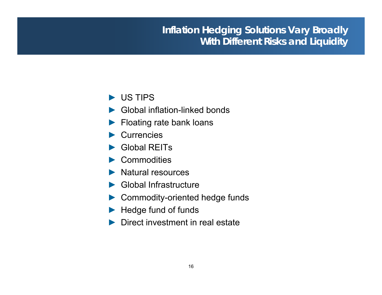# **Inflation Hedging Solutions Vary Broadly With Different Risks and Liquidity**

### ► US TIPS

- ►Global inflation-linked bonds
- ► Floating rate bank loans
- ► Currencies
- ► Global REITs
- ► Commodities
- ► Natural resources
- ► Global Infrastructure
- ► Commodity-oriented hedge funds
- ► Hedge fund of funds
- ► Direct investment in real estate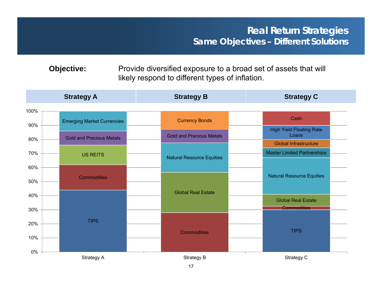**Objective:** Provide diversified exposure to a broad set of assets that will likely respond to different types of inflation.

|      | <b>Strategy A</b>                 | <b>Strategy B</b>                | <b>Strategy C</b>                               |  |
|------|-----------------------------------|----------------------------------|-------------------------------------------------|--|
| 100% |                                   |                                  |                                                 |  |
| 90%  | <b>Emerging Market Currencies</b> | <b>Currency Bonds</b>            | Cash                                            |  |
|      | <b>Gold and Precious Metals</b>   | <b>Gold and Precious Metals</b>  | <b>High Yield Floating Rate</b><br>Loans        |  |
| 80%  |                                   |                                  | <b>Global Infrastructure</b>                    |  |
| 70%  | <b>US REITS</b>                   | <b>Natural Resource Equities</b> | <b>Master Limited Partnerships</b>              |  |
| 60%  |                                   |                                  |                                                 |  |
|      | <b>Commodities</b>                |                                  | <b>Natural Resource Equities</b>                |  |
| 50%  |                                   |                                  |                                                 |  |
| 40%  |                                   | <b>Global Real Estate</b>        |                                                 |  |
| 30%  |                                   |                                  | <b>Global Real Estate</b><br><b>Commodities</b> |  |
|      |                                   |                                  |                                                 |  |
| 20%  | <b>TIPS</b>                       |                                  |                                                 |  |
| 10%  |                                   | <b>Commodities</b>               | <b>TIPS</b>                                     |  |
|      |                                   |                                  |                                                 |  |
| 0%   | Strategy A                        | Strategy B                       | Strategy C                                      |  |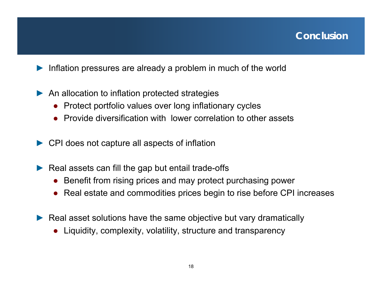- ►Inflation pressures are already a problem in much of the world
- ▶ An allocation to inflation protected strategies
	- ●Protect portfolio values over long inflationary cycles
	- Provide diversification with lower correlation to other assets
- ► CPI does not capture all aspects of inflation
- ►Real assets can fill the gap but entail trade-offs
	- ●Benefit from rising prices and may protect purchasing power
	- Real estate and commodities prices begin to rise before CPI increases
- ► Real asset solutions have the same objective but vary dramatically
	- ●Liquidity, complexity, volatility, structure and transparency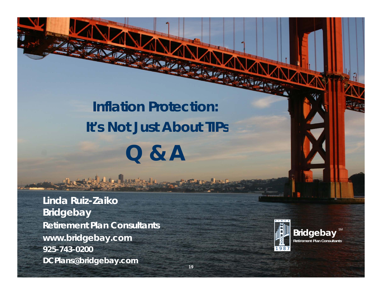# **Inflation Protection: It s Not Just About TIPs 's Q & A**

NAVA 1

**Linda Ruiz -Zaiko** Linda Ruiz-Zaiko<br>Bridgebay **Retirement Plan Consultants www.bridgebay.com 925-743-0200**0 and 1987 **DCPlans@bridgebay.com**